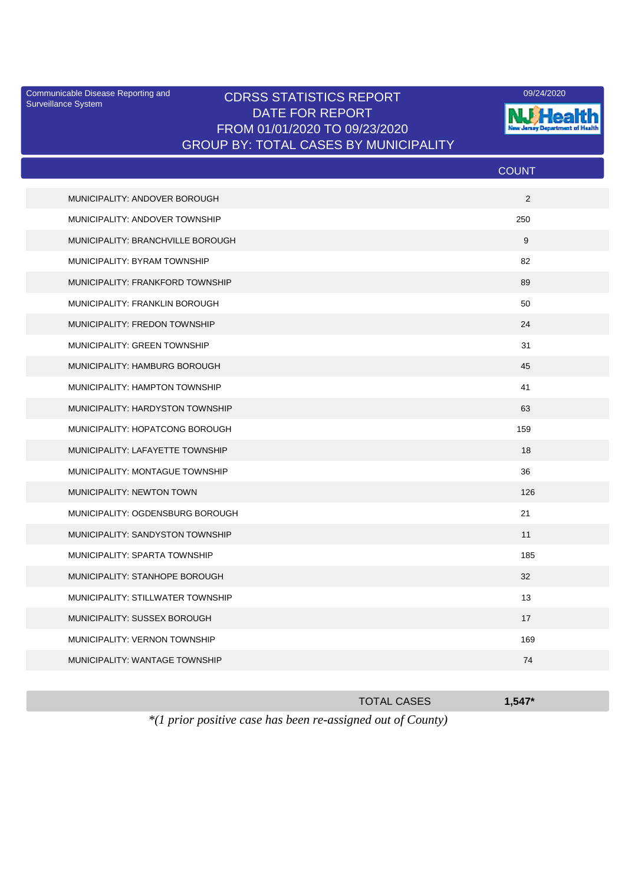Surveillance System

## Communicable Disease Reporting and CDRSS STATISTICS REPORT 09/24/2020<br>Surveillance System CDRSS STATISTICS REPORT DATE FOR REPORT FROM 01/01/2020 TO 09/23/2020 GROUP BY: TOTAL CASES BY MUNICIPALITY



|                                   | <b>COUNT</b> |
|-----------------------------------|--------------|
| MUNICIPALITY: ANDOVER BOROUGH     | 2            |
| MUNICIPALITY: ANDOVER TOWNSHIP    | 250          |
| MUNICIPALITY: BRANCHVILLE BOROUGH | 9            |
| MUNICIPALITY: BYRAM TOWNSHIP      | 82           |
| MUNICIPALITY: FRANKFORD TOWNSHIP  | 89           |
| MUNICIPALITY: FRANKLIN BOROUGH    | 50           |
| MUNICIPALITY: FREDON TOWNSHIP     | 24           |
| MUNICIPALITY: GREEN TOWNSHIP      | 31           |
| MUNICIPALITY: HAMBURG BOROUGH     | 45           |
| MUNICIPALITY: HAMPTON TOWNSHIP    | 41           |
| MUNICIPALITY: HARDYSTON TOWNSHIP  | 63           |
| MUNICIPALITY: HOPATCONG BOROUGH   | 159          |
| MUNICIPALITY: LAFAYETTE TOWNSHIP  | 18           |
| MUNICIPALITY: MONTAGUE TOWNSHIP   | 36           |
| MUNICIPALITY: NEWTON TOWN         | 126          |
| MUNICIPALITY: OGDENSBURG BOROUGH  | 21           |
| MUNICIPALITY: SANDYSTON TOWNSHIP  | 11           |
| MUNICIPALITY: SPARTA TOWNSHIP     | 185          |
| MUNICIPALITY: STANHOPE BOROUGH    | 32           |
| MUNICIPALITY: STILLWATER TOWNSHIP | 13           |
| MUNICIPALITY: SUSSEX BOROUGH      | 17           |
| MUNICIPALITY: VERNON TOWNSHIP     | 169          |
| MUNICIPALITY: WANTAGE TOWNSHIP    | 74           |
|                                   |              |

|                                                                       | <b>TOTAL CASES</b> | $1.547*$ |
|-----------------------------------------------------------------------|--------------------|----------|
| $*(1 \text{ prior positive case has been re-assigned out of County})$ |                    |          |